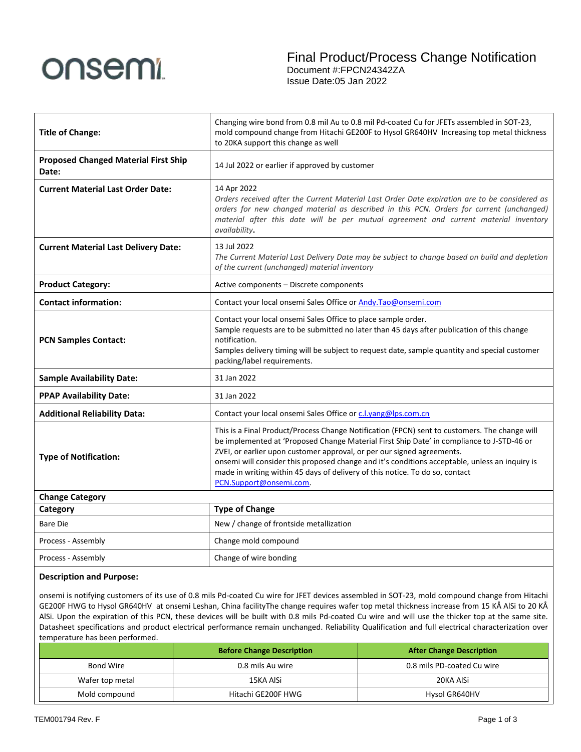

| <b>Title of Change:</b>                              | Changing wire bond from 0.8 mil Au to 0.8 mil Pd-coated Cu for JFETs assembled in SOT-23,<br>mold compound change from Hitachi GE200F to Hysol GR640HV Increasing top metal thickness<br>to 20KA support this change as well                                                                                                                                                                                                                                                      |  |
|------------------------------------------------------|-----------------------------------------------------------------------------------------------------------------------------------------------------------------------------------------------------------------------------------------------------------------------------------------------------------------------------------------------------------------------------------------------------------------------------------------------------------------------------------|--|
| <b>Proposed Changed Material First Ship</b><br>Date: | 14 Jul 2022 or earlier if approved by customer                                                                                                                                                                                                                                                                                                                                                                                                                                    |  |
| <b>Current Material Last Order Date:</b>             | 14 Apr 2022<br>Orders received after the Current Material Last Order Date expiration are to be considered as<br>orders for new changed material as described in this PCN. Orders for current (unchanged)<br>material after this date will be per mutual agreement and current material inventory<br>availability.                                                                                                                                                                 |  |
| <b>Current Material Last Delivery Date:</b>          | 13 Jul 2022<br>The Current Material Last Delivery Date may be subject to change based on build and depletion<br>of the current (unchanged) material inventory                                                                                                                                                                                                                                                                                                                     |  |
| <b>Product Category:</b>                             | Active components - Discrete components                                                                                                                                                                                                                                                                                                                                                                                                                                           |  |
| <b>Contact information:</b>                          | Contact your local onsemi Sales Office or Andy.Tao@onsemi.com                                                                                                                                                                                                                                                                                                                                                                                                                     |  |
| <b>PCN Samples Contact:</b>                          | Contact your local onsemi Sales Office to place sample order.<br>Sample requests are to be submitted no later than 45 days after publication of this change<br>notification.<br>Samples delivery timing will be subject to request date, sample quantity and special customer<br>packing/label requirements.                                                                                                                                                                      |  |
| <b>Sample Availability Date:</b>                     | 31 Jan 2022                                                                                                                                                                                                                                                                                                                                                                                                                                                                       |  |
| <b>PPAP Availability Date:</b>                       | 31 Jan 2022                                                                                                                                                                                                                                                                                                                                                                                                                                                                       |  |
| <b>Additional Reliability Data:</b>                  | Contact your local onsemi Sales Office or c.l.yang@lps.com.cn                                                                                                                                                                                                                                                                                                                                                                                                                     |  |
| <b>Type of Notification:</b>                         | This is a Final Product/Process Change Notification (FPCN) sent to customers. The change will<br>be implemented at 'Proposed Change Material First Ship Date' in compliance to J-STD-46 or<br>ZVEI, or earlier upon customer approval, or per our signed agreements.<br>onsemi will consider this proposed change and it's conditions acceptable, unless an inquiry is<br>made in writing within 45 days of delivery of this notice. To do so, contact<br>PCN.Support@onsemi.com. |  |
| <b>Change Category</b>                               |                                                                                                                                                                                                                                                                                                                                                                                                                                                                                   |  |
| Category                                             | <b>Type of Change</b>                                                                                                                                                                                                                                                                                                                                                                                                                                                             |  |
| <b>Bare Die</b>                                      | New / change of frontside metallization                                                                                                                                                                                                                                                                                                                                                                                                                                           |  |
| Process - Assembly                                   | Change mold compound                                                                                                                                                                                                                                                                                                                                                                                                                                                              |  |
| Process - Assembly                                   | Change of wire bonding                                                                                                                                                                                                                                                                                                                                                                                                                                                            |  |

## **Description and Purpose:**

onsemi is notifying customers of its use of 0.8 mils Pd-coated Cu wire for JFET devices assembled in SOT-23, mold compound change from Hitachi GE200F HWG to Hysol GR640HV at onsemi Leshan, China facilityThe change requires wafer top metal thickness increase from 15 KÅ AlSi to 20 KÅ AlSi. Upon the expiration of this PCN, these devices will be built with 0.8 mils Pd-coated Cu wire and will use the thicker top at the same site. Datasheet specifications and product electrical performance remain unchanged. Reliability Qualification and full electrical characterization over temperature has been performed.

|                 | <b>Before Change Description</b> | <b>After Change Description</b> |  |
|-----------------|----------------------------------|---------------------------------|--|
| Bond Wire       | 0.8 mils Au wire                 | 0.8 mils PD-coated Cu wire      |  |
| Wafer top metal | 15KA AlSi                        | 20KA AlSi                       |  |
| Mold compound   | Hitachi GE200F HWG               | Hysol GR640HV                   |  |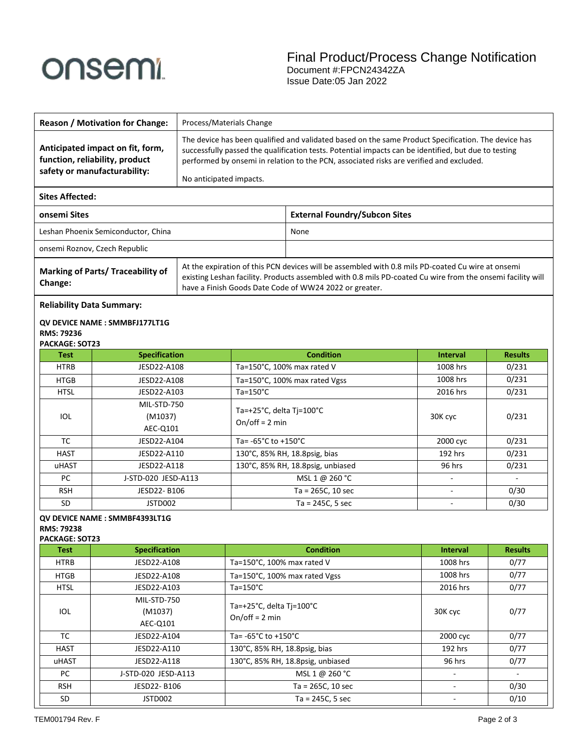# onsemi

|                                                                                                               | <b>Reason / Motivation for Change:</b>                                                             | Process/Materials Change                                                                                                                                                                                                                                                                                                          |                                                                                                                                                                                                                 |                                      |                 |                |
|---------------------------------------------------------------------------------------------------------------|----------------------------------------------------------------------------------------------------|-----------------------------------------------------------------------------------------------------------------------------------------------------------------------------------------------------------------------------------------------------------------------------------------------------------------------------------|-----------------------------------------------------------------------------------------------------------------------------------------------------------------------------------------------------------------|--------------------------------------|-----------------|----------------|
|                                                                                                               | Anticipated impact on fit, form,<br>function, reliability, product<br>safety or manufacturability: | The device has been qualified and validated based on the same Product Specification. The device has<br>successfully passed the qualification tests. Potential impacts can be identified, but due to testing<br>performed by onsemi in relation to the PCN, associated risks are verified and excluded.<br>No anticipated impacts. |                                                                                                                                                                                                                 |                                      |                 |                |
| <b>Sites Affected:</b>                                                                                        |                                                                                                    |                                                                                                                                                                                                                                                                                                                                   |                                                                                                                                                                                                                 |                                      |                 |                |
| onsemi Sites                                                                                                  |                                                                                                    |                                                                                                                                                                                                                                                                                                                                   |                                                                                                                                                                                                                 | <b>External Foundry/Subcon Sites</b> |                 |                |
| Leshan Phoenix Semiconductor, China                                                                           |                                                                                                    | None                                                                                                                                                                                                                                                                                                                              |                                                                                                                                                                                                                 |                                      |                 |                |
|                                                                                                               | onsemi Roznov, Czech Republic                                                                      |                                                                                                                                                                                                                                                                                                                                   |                                                                                                                                                                                                                 |                                      |                 |                |
| <b>Marking of Parts/ Traceability of</b><br>Change:<br>have a Finish Goods Date Code of WW24 2022 or greater. |                                                                                                    |                                                                                                                                                                                                                                                                                                                                   | At the expiration of this PCN devices will be assembled with 0.8 mils PD-coated Cu wire at onsemi<br>existing Leshan facility. Products assembled with 0.8 mils PD-coated Cu wire from the onsemi facility will |                                      |                 |                |
| <b>Reliability Data Summary:</b>                                                                              |                                                                                                    |                                                                                                                                                                                                                                                                                                                                   |                                                                                                                                                                                                                 |                                      |                 |                |
| RMS: 79236<br>PACKAGE: SOT23                                                                                  | QV DEVICE NAME: SMMBFJ177LT1G                                                                      |                                                                                                                                                                                                                                                                                                                                   |                                                                                                                                                                                                                 |                                      |                 |                |
| <b>Test</b>                                                                                                   | <b>Specification</b>                                                                               |                                                                                                                                                                                                                                                                                                                                   |                                                                                                                                                                                                                 | <b>Condition</b>                     | <b>Interval</b> | <b>Results</b> |
| <b>HTRB</b>                                                                                                   | JESD22-A108                                                                                        |                                                                                                                                                                                                                                                                                                                                   | Ta=150°C, 100% max rated V                                                                                                                                                                                      |                                      | 1008 hrs        | 0/231          |
| <b>HTGB</b>                                                                                                   | JESD22-A108                                                                                        |                                                                                                                                                                                                                                                                                                                                   |                                                                                                                                                                                                                 | Ta=150°C, 100% max rated Vgss        | 1008 hrs        | 0/231          |
| <b>HTSL</b>                                                                                                   | JESD22-A103                                                                                        |                                                                                                                                                                                                                                                                                                                                   | $Ta=150^{\circ}C$                                                                                                                                                                                               |                                      | 2016 hrs        | 0/231          |
| IOL                                                                                                           | MIL-STD-750<br>(M1037)<br>AEC-Q101                                                                 |                                                                                                                                                                                                                                                                                                                                   | Ta=+25°C, delta Tj=100°C<br>On/off = $2 \text{ min}$                                                                                                                                                            |                                      | 30K cyc         | 0/231          |
| ТC                                                                                                            | JESD22-A104                                                                                        | Ta= $-65^{\circ}$ C to $+150^{\circ}$ C                                                                                                                                                                                                                                                                                           |                                                                                                                                                                                                                 |                                      | 2000 сус        | 0/231          |
| <b>HAST</b>                                                                                                   |                                                                                                    | JESD22-A110                                                                                                                                                                                                                                                                                                                       |                                                                                                                                                                                                                 | 130°C, 85% RH, 18.8psig, bias        | 192 hrs         | 0/231          |
| uHAST                                                                                                         |                                                                                                    | JESD22-A118                                                                                                                                                                                                                                                                                                                       |                                                                                                                                                                                                                 | 130°C, 85% RH, 18.8psig, unbiased    | 96 hrs          | 0/231          |
| PC                                                                                                            | J-STD-020 JESD-A113                                                                                |                                                                                                                                                                                                                                                                                                                                   |                                                                                                                                                                                                                 | MSL 1 @ 260 °C                       |                 |                |
| <b>RSH</b>                                                                                                    | JESD22-B106                                                                                        |                                                                                                                                                                                                                                                                                                                                   |                                                                                                                                                                                                                 | Ta = 265C, 10 sec                    |                 | 0/30           |
| SD                                                                                                            | JSTD002                                                                                            |                                                                                                                                                                                                                                                                                                                                   |                                                                                                                                                                                                                 | $Ta = 245C, 5 sec$                   | $\sim$          | 0/30           |
| RMS: 79238<br><b>PACKAGE: SOT23</b><br><b>Test</b>                                                            | QV DEVICE NAME: SMMBF4393LT1G<br><b>Specification</b>                                              |                                                                                                                                                                                                                                                                                                                                   |                                                                                                                                                                                                                 | <b>Condition</b>                     | Interval        | <b>Results</b> |
| <b>HTRB</b>                                                                                                   | JESD22-A108                                                                                        |                                                                                                                                                                                                                                                                                                                                   | Ta=150°C, 100% max rated V                                                                                                                                                                                      |                                      | 1008 hrs        | 0/77           |
| <b>HTGB</b>                                                                                                   | JESD22-A108                                                                                        |                                                                                                                                                                                                                                                                                                                                   |                                                                                                                                                                                                                 | Ta=150°C, 100% max rated Vgss        | 1008 hrs        | 0/77           |
| <b>HTSL</b>                                                                                                   | JESD22-A103                                                                                        |                                                                                                                                                                                                                                                                                                                                   | $Ta=150^{\circ}C$                                                                                                                                                                                               |                                      | 2016 hrs        | 0/77           |
|                                                                                                               | MIL-STD-750                                                                                        |                                                                                                                                                                                                                                                                                                                                   |                                                                                                                                                                                                                 |                                      |                 |                |
| IOL                                                                                                           | (M1037)<br>AEC-Q101                                                                                |                                                                                                                                                                                                                                                                                                                                   | Ta=+25°C, delta Tj=100°C<br>On/off = $2 \text{ min}$                                                                                                                                                            |                                      | 30K cyc         | 0/77           |
| <b>TC</b>                                                                                                     | JESD22-A104                                                                                        |                                                                                                                                                                                                                                                                                                                                   | Ta=-65°C to +150°C                                                                                                                                                                                              |                                      | 2000 cyc        | 0/77           |
| <b>HAST</b>                                                                                                   | JESD22-A110                                                                                        |                                                                                                                                                                                                                                                                                                                                   | 130°C, 85% RH, 18.8psig, bias                                                                                                                                                                                   |                                      | 192 hrs         | 0/77           |
| uHAST                                                                                                         | JESD22-A118                                                                                        |                                                                                                                                                                                                                                                                                                                                   |                                                                                                                                                                                                                 | 130°C, 85% RH, 18.8psig, unbiased    | 96 hrs          | 0/77           |
| PC                                                                                                            | J-STD-020 JESD-A113                                                                                |                                                                                                                                                                                                                                                                                                                                   |                                                                                                                                                                                                                 | MSL 1 @ 260 °C                       |                 |                |
| <b>RSH</b>                                                                                                    | JESD22-B106                                                                                        |                                                                                                                                                                                                                                                                                                                                   |                                                                                                                                                                                                                 | Ta = 265C, 10 sec                    | $\blacksquare$  | 0/30           |
| SD                                                                                                            | JSTD002                                                                                            |                                                                                                                                                                                                                                                                                                                                   |                                                                                                                                                                                                                 | $Ta = 245C, 5 sec$                   |                 | 0/10           |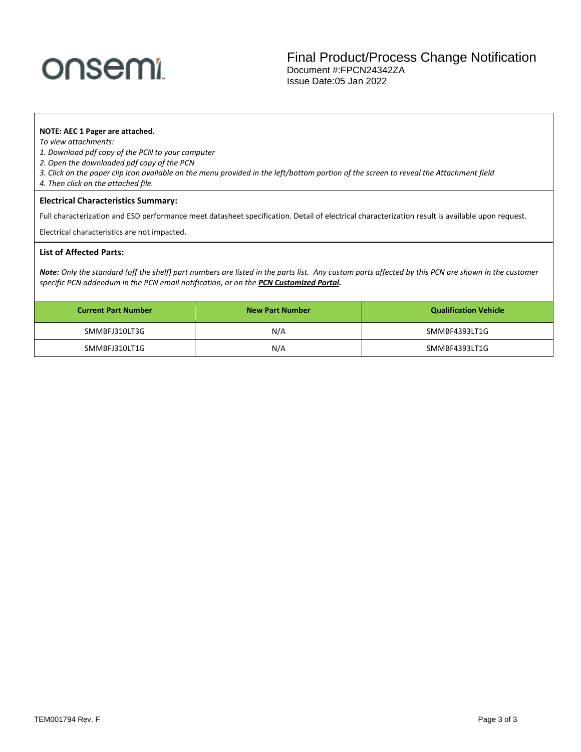# onsemi

Final Product/Process Change Notification Document #:FPCN24342ZA Issue Date:05 Jan 2022

### **NOTE: AEC 1 Pager are attached.**

*To view attachments:* 

- *1. Download pdf copy of the PCN to your computer*
- *2. Open the downloaded pdf copy of the PCN*
- *3. Click on the paper clip icon available on the menu provided in the left/bottom portion of the screen to reveal the Attachment field*
- *4. Then click on the attached file.*

#### **Electrical Characteristics Summary:**

Full characterization and ESD performance meet datasheet specification. Detail of electrical characterization result is available upon request.

Electrical characteristics are not impacted.

### **List of Affected Parts:**

*Note: Only the standard (off the shelf) part numbers are listed in the parts list. Any custom parts affected by this PCN are shown in the customer specific PCN addendum in the PCN email notification, or on the [PCN Customized Portal.](https://www.onsemi.com/PowerSolutions/pcn.do)*

| <b>Current Part Number</b> | <b>New Part Number</b> | <b>Qualification Vehicle</b> |  |
|----------------------------|------------------------|------------------------------|--|
| SMMBFJ310LT3G              | N/A                    | SMMBF4393LT1G                |  |
| SMMBFJ310LT1G              | N/A                    | SMMBF4393LT1G                |  |